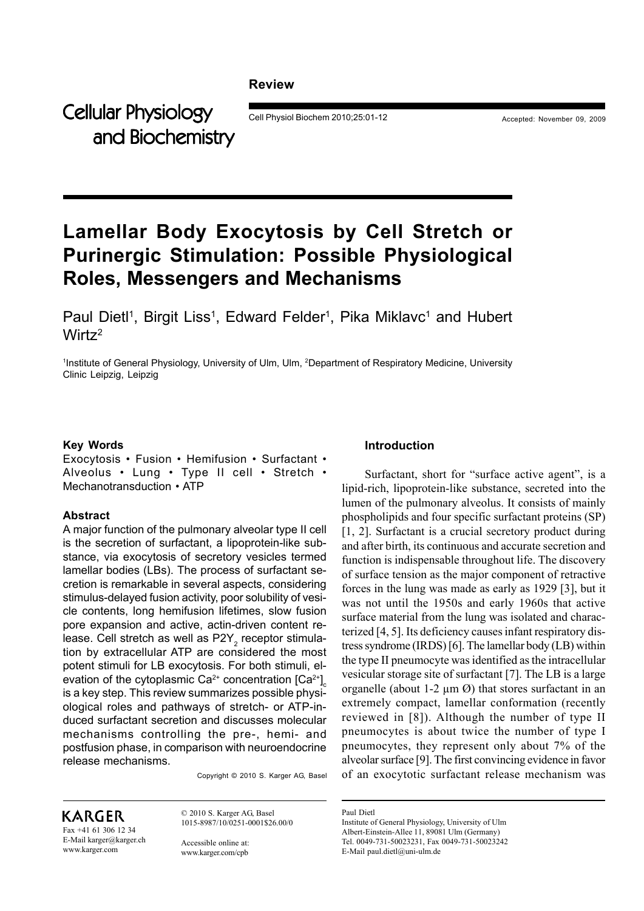#### **Review**

Cellular Physiology Cell Physiol Biochem 2010;25:01-12 Accepted: November 09, 2009 and Biochemistry

# **Lamellar Body Exocytosis by Cell Stretch or Purinergic Stimulation: Possible Physiological Roles, Messengers and Mechanisms**

Paul Dietl<sup>1</sup>, Birgit Liss<sup>1</sup>, Edward Felder<sup>1</sup>, Pika Miklavc<sup>1</sup> and Hubert Wirt $z^2$ 

1 Institute of General Physiology, University of Ulm, Ulm, 2Department of Respiratory Medicine, University Clinic Leipzig, Leipzig

#### **Key Words**

Exocytosis • Fusion • Hemifusion • Surfactant • Alveolus • Lung • Type II cell • Stretch • Mechanotransduction • ATP

#### **Abstract**

A major function of the pulmonary alveolar type II cell is the secretion of surfactant, a lipoprotein-like substance, via exocytosis of secretory vesicles termed lamellar bodies (LBs). The process of surfactant secretion is remarkable in several aspects, considering stimulus-delayed fusion activity, poor solubility of vesicle contents, long hemifusion lifetimes, slow fusion pore expansion and active, actin-driven content release. Cell stretch as well as P2Y $_2$  receptor stimulation by extracellular ATP are considered the most potent stimuli for LB exocytosis. For both stimuli, elevation of the cytoplasmic Ca $^{2+}$  concentration [Ca $^{2+}$ ] $_{\textrm{\tiny c}}$ is a key step. This review summarizes possible physiological roles and pathways of stretch- or ATP-induced surfactant secretion and discusses molecular mechanisms controlling the pre-, hemi- and postfusion phase, in comparison with neuroendocrine release mechanisms.

Copyright © 2010 S. Karger AG, Basel

## KARGER

Fax +41 61 306 12 34 E-Mail karger@karger.ch www.karger.com

© 2010 S. Karger AG, Basel 1015-8987/10/0251-0001\$26.00/0

Accessible online at: www.karger.com/cpb

#### **Introduction**

Surfactant, short for "surface active agent", is a lipid-rich, lipoprotein-like substance, secreted into the lumen of the pulmonary alveolus. It consists of mainly phospholipids and four specific surfactant proteins (SP) [1, 2]. Surfactant is a crucial secretory product during and after birth, its continuous and accurate secretion and function is indispensable throughout life. The discovery of surface tension as the major component of retractive forces in the lung was made as early as 1929 [3], but it was not until the 1950s and early 1960s that active surface material from the lung was isolated and characterized [4, 5]. Its deficiency causes infant respiratory distress syndrome (IRDS) [6]. The lamellar body (LB) within the type II pneumocyte was identified as the intracellular vesicular storage site of surfactant [7]. The LB is a large organelle (about 1-2  $\mu$ m  $\varnothing$ ) that stores surfactant in an extremely compact, lamellar conformation (recently reviewed in [8]). Although the number of type II pneumocytes is about twice the number of type I pneumocytes, they represent only about 7% of the alveolar surface [9]. The first convincing evidence in favor of an exocytotic surfactant release mechanism was

Paul Dietl

Institute of General Physiology, University of Ulm Albert-Einstein-Allee 11, 89081 Ulm (Germany) Tel. 0049-731-50023231, Fax 0049-731-50023242 E-Mail paul.dietl@uni-ulm.de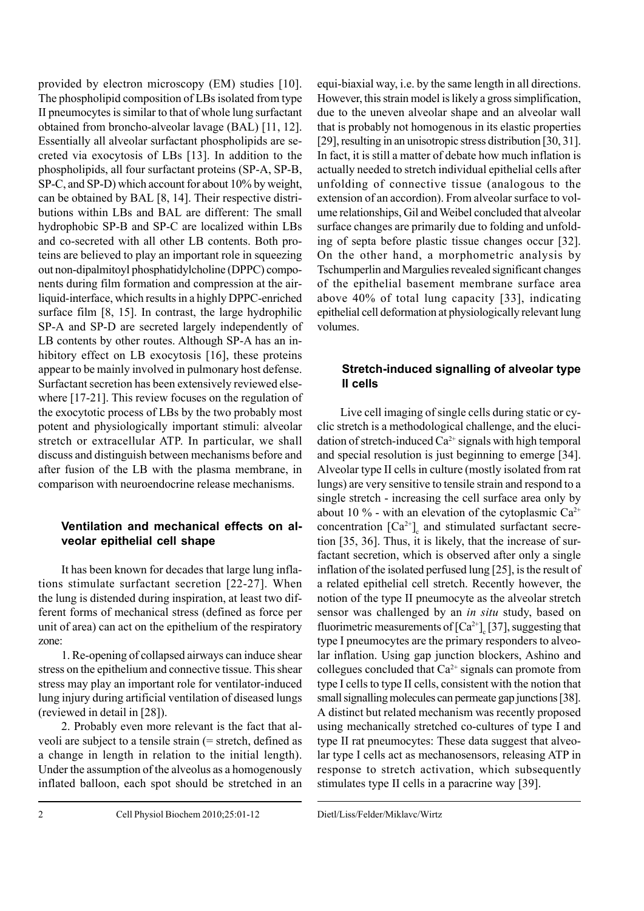provided by electron microscopy (EM) studies [10]. The phospholipid composition of LBs isolated from type II pneumocytes is similar to that of whole lung surfactant obtained from broncho-alveolar lavage (BAL) [11, 12]. Essentially all alveolar surfactant phospholipids are secreted via exocytosis of LBs [13]. In addition to the phospholipids, all four surfactant proteins (SP-A, SP-B, SP-C, and SP-D) which account for about 10% by weight, can be obtained by BAL [8, 14]. Their respective distributions within LBs and BAL are different: The small hydrophobic SP-B and SP-C are localized within LBs and co-secreted with all other LB contents. Both proteins are believed to play an important role in squeezing out non-dipalmitoyl phosphatidylcholine (DPPC) components during film formation and compression at the airliquid-interface, which results in a highly DPPC-enriched surface film [8, 15]. In contrast, the large hydrophilic SP-A and SP-D are secreted largely independently of LB contents by other routes. Although SP-A has an inhibitory effect on LB exocytosis [16], these proteins appear to be mainly involved in pulmonary host defense. Surfactant secretion has been extensively reviewed elsewhere [17-21]. This review focuses on the regulation of the exocytotic process of LBs by the two probably most potent and physiologically important stimuli: alveolar stretch or extracellular ATP. In particular, we shall discuss and distinguish between mechanisms before and after fusion of the LB with the plasma membrane, in comparison with neuroendocrine release mechanisms.

## **Ventilation and mechanical effects on alveolar epithelial cell shape**

It has been known for decades that large lung inflations stimulate surfactant secretion [22-27]. When the lung is distended during inspiration, at least two different forms of mechanical stress (defined as force per unit of area) can act on the epithelium of the respiratory zone:

1. Re-opening of collapsed airways can induce shear stress on the epithelium and connective tissue. This shear stress may play an important role for ventilator-induced lung injury during artificial ventilation of diseased lungs (reviewed in detail in [28]).

2. Probably even more relevant is the fact that alveoli are subject to a tensile strain (= stretch, defined as a change in length in relation to the initial length). Under the assumption of the alveolus as a homogenously inflated balloon, each spot should be stretched in an equi-biaxial way, i.e. by the same length in all directions. However, this strain model is likely a gross simplification, due to the uneven alveolar shape and an alveolar wall that is probably not homogenous in its elastic properties [29], resulting in an unisotropic stress distribution [30, 31]. In fact, it is still a matter of debate how much inflation is actually needed to stretch individual epithelial cells after unfolding of connective tissue (analogous to the extension of an accordion). From alveolar surface to volume relationships, Gil and Weibel concluded that alveolar surface changes are primarily due to folding and unfolding of septa before plastic tissue changes occur [32]. On the other hand, a morphometric analysis by Tschumperlin and Margulies revealed significant changes of the epithelial basement membrane surface area above 40% of total lung capacity [33], indicating epithelial cell deformation at physiologically relevant lung volumes.

## **Stretch-induced signalling of alveolar type II cells**

Live cell imaging of single cells during static or cyclic stretch is a methodological challenge, and the elucidation of stretch-induced  $Ca^{2+}$  signals with high temporal and special resolution is just beginning to emerge [34]. Alveolar type II cells in culture (mostly isolated from rat lungs) are very sensitive to tensile strain and respond to a single stretch - increasing the cell surface area only by about 10 % - with an elevation of the cytoplasmic  $Ca^{2+}$ concentration  $[Ca^{2+}]_c$  and stimulated surfactant secretion [35, 36]. Thus, it is likely, that the increase of surfactant secretion, which is observed after only a single inflation of the isolated perfused lung [25], is the result of a related epithelial cell stretch. Recently however, the notion of the type II pneumocyte as the alveolar stretch sensor was challenged by an *in situ* study, based on fluorimetric measurements of  $\left[Ca^{2+}\right]_{c}$  [37], suggesting that type I pneumocytes are the primary responders to alveolar inflation. Using gap junction blockers, Ashino and collegues concluded that  $Ca^{2+}$  signals can promote from type I cells to type II cells, consistent with the notion that small signalling molecules can permeate gap junctions [38]. A distinct but related mechanism was recently proposed using mechanically stretched co-cultures of type I and type II rat pneumocytes: These data suggest that alveolar type I cells act as mechanosensors, releasing ATP in response to stretch activation, which subsequently stimulates type II cells in a paracrine way [39].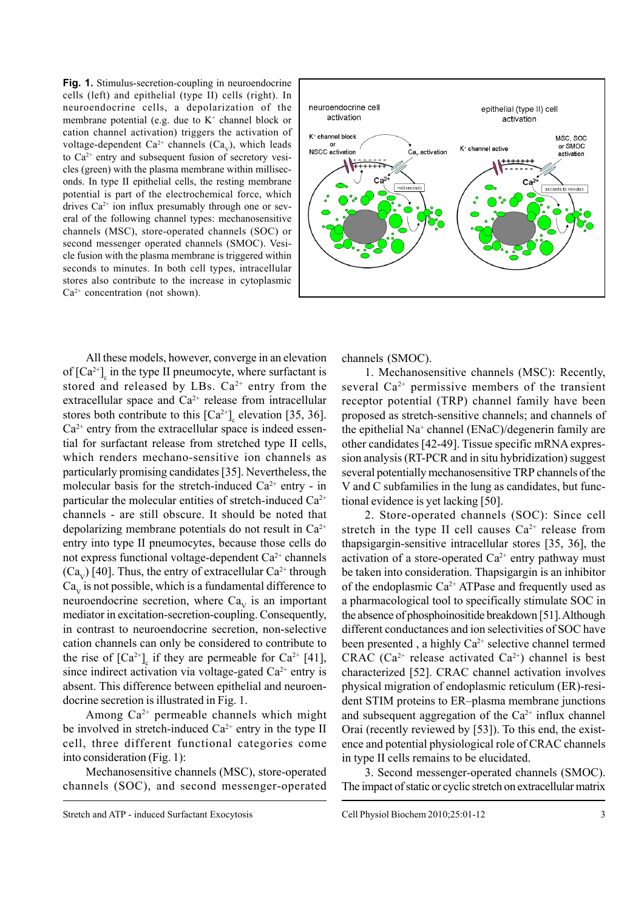**Fig. 1.** Stimulus-secretion-coupling in neuroendocrine cells (left) and epithelial (type II) cells (right). In neuroendocrine cells, a depolarization of the membrane potential (e.g. due to  $K^+$  channel block or cation channel activation) triggers the activation of voltage-dependent Ca<sup>2+</sup> channels (Ca<sub>v</sub>), which leads to  $Ca^{2+}$  entry and subsequent fusion of secretory vesicles (green) with the plasma membrane within milliseconds. In type II epithelial cells, the resting membrane potential is part of the electrochemical force, which drives  $Ca^{2+}$  ion influx presumably through one or several of the following channel types: mechanosensitive channels (MSC), store-operated channels (SOC) or second messenger operated channels (SMOC). Vesicle fusion with the plasma membrane is triggered within seconds to minutes. In both cell types, intracellular stores also contribute to the increase in cytoplasmic  $Ca<sup>2+</sup> concentration (not shown).$ 



All these models, however, converge in an elevation of  $[Ca^{2+}]_c$  in the type II pneumocyte, where surfactant is stored and released by LBs.  $Ca^{2+}$  entry from the extracellular space and  $Ca^{2+}$  release from intracellular stores both contribute to this  $[Ca^{2+}]_c$  elevation [35, 36].  $Ca<sup>2+</sup>$  entry from the extracellular space is indeed essential for surfactant release from stretched type II cells, which renders mechano-sensitive ion channels as particularly promising candidates [35]. Nevertheless, the molecular basis for the stretch-induced  $Ca^{2+}$  entry - in particular the molecular entities of stretch-induced  $Ca^{2+}$ channels - are still obscure. It should be noted that depolarizing membrane potentials do not result in  $Ca^{2+}$ entry into type II pneumocytes, because those cells do not express functional voltage-dependent  $Ca^{2+}$  channels  $(Ca_v)$  [40]. Thus, the entry of extracellular  $Ca^{2+}$  through  $Ca<sub>v</sub>$  is not possible, which is a fundamental difference to neuroendocrine secretion, where  $Ca<sub>v</sub>$  is an important mediator in excitation-secretion-coupling. Consequently, in contrast to neuroendocrine secretion, non-selective cation channels can only be considered to contribute to the rise of  $[Ca^{2+}]_c$  if they are permeable for  $Ca^{2+}$  [41], since indirect activation via voltage-gated  $Ca^{2+}$  entry is absent. This difference between epithelial and neuroendocrine secretion is illustrated in Fig. 1.

Among  $Ca^{2+}$  permeable channels which might be involved in stretch-induced  $Ca^{2+}$  entry in the type II cell, three different functional categories come into consideration (Fig. 1):

Mechanosensitive channels (MSC), store-operated channels (SOC), and second messenger-operated

Stretch and ATP - induced Surfactant Exocytosis Cell Physiol Biochem 2010;25:01-12

channels (SMOC).

1. Mechanosensitive channels (MSC): Recently, several  $Ca^{2+}$  permissive members of the transient receptor potential (TRP) channel family have been proposed as stretch-sensitive channels; and channels of the epithelial Na+ channel (ENaC)/degenerin family are other candidates [42-49]. Tissue specific mRNA expression analysis (RT-PCR and in situ hybridization) suggest several potentially mechanosensitive TRP channels of the V and C subfamilies in the lung as candidates, but functional evidence is yet lacking [50].

2. Store-operated channels (SOC): Since cell stretch in the type II cell causes  $Ca^{2+}$  release from thapsigargin-sensitive intracellular stores [35, 36], the activation of a store-operated  $Ca^{2+}$  entry pathway must be taken into consideration. Thapsigargin is an inhibitor of the endoplasmic  $Ca^{2+}$  ATPase and frequently used as a pharmacological tool to specifically stimulate SOC in the absence of phosphoinositide breakdown [51]. Although different conductances and ion selectivities of SOC have been presented, a highly Ca<sup>2+</sup> selective channel termed CRAC (Ca<sup>2+</sup> release activated Ca<sup>2+</sup>) channel is best characterized [52]. CRAC channel activation involves physical migration of endoplasmic reticulum (ER)-resident STIM proteins to ER–plasma membrane junctions and subsequent aggregation of the  $Ca<sup>2+</sup>$  influx channel Orai (recently reviewed by [53]). To this end, the existence and potential physiological role of CRAC channels in type II cells remains to be elucidated.

3. Second messenger-operated channels (SMOC). The impact of static or cyclic stretch on extracellular matrix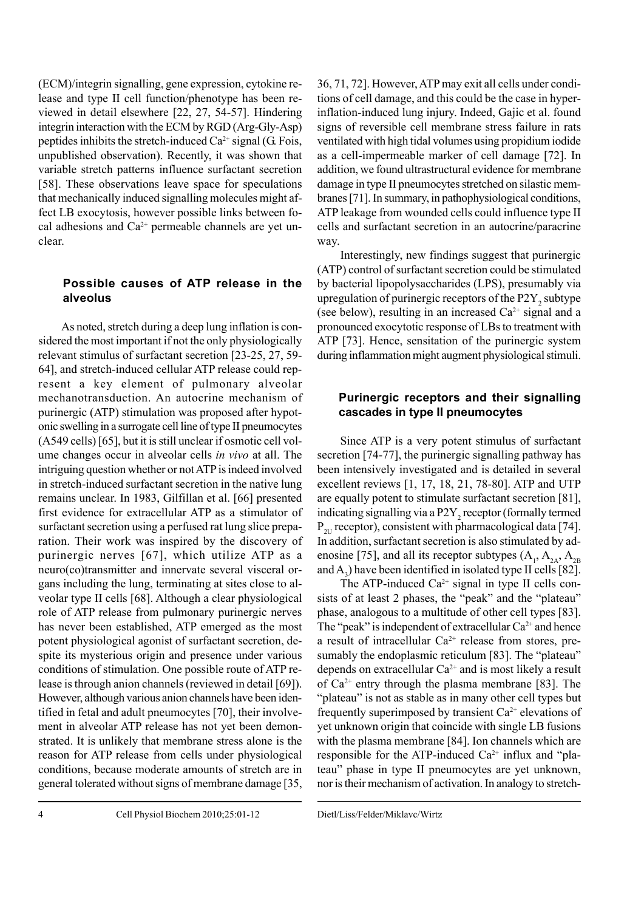(ECM)/integrin signalling, gene expression, cytokine release and type II cell function/phenotype has been reviewed in detail elsewhere [22, 27, 54-57]. Hindering integrin interaction with the ECM by RGD (Arg-Gly-Asp) peptides inhibits the stretch-induced  $Ca^{2+}$  signal (G. Fois, unpublished observation). Recently, it was shown that variable stretch patterns influence surfactant secretion [58]. These observations leave space for speculations that mechanically induced signalling molecules might affect LB exocytosis, however possible links between focal adhesions and  $Ca^{2+}$  permeable channels are yet unclear.

## **Possible causes of ATP release in the alveolus**

As noted, stretch during a deep lung inflation is considered the most important if not the only physiologically relevant stimulus of surfactant secretion [23-25, 27, 59- 64], and stretch-induced cellular ATP release could represent a key element of pulmonary alveolar mechanotransduction. An autocrine mechanism of purinergic (ATP) stimulation was proposed after hypotonic swelling in a surrogate cell line of type II pneumocytes (A549 cells) [65], but it is still unclear if osmotic cell volume changes occur in alveolar cells *in vivo* at all. The intriguing question whether or not ATP is indeed involved in stretch-induced surfactant secretion in the native lung remains unclear. In 1983, Gilfillan et al. [66] presented first evidence for extracellular ATP as a stimulator of surfactant secretion using a perfused rat lung slice preparation. Their work was inspired by the discovery of purinergic nerves [67], which utilize ATP as a neuro(co)transmitter and innervate several visceral organs including the lung, terminating at sites close to alveolar type II cells [68]. Although a clear physiological role of ATP release from pulmonary purinergic nerves has never been established, ATP emerged as the most potent physiological agonist of surfactant secretion, despite its mysterious origin and presence under various conditions of stimulation. One possible route of ATP release is through anion channels (reviewed in detail [69]). However, although various anion channels have been identified in fetal and adult pneumocytes [70], their involvement in alveolar ATP release has not yet been demonstrated. It is unlikely that membrane stress alone is the reason for ATP release from cells under physiological conditions, because moderate amounts of stretch are in general tolerated without signs of membrane damage [35,

36, 71, 72]. However, ATP may exit all cells under conditions of cell damage, and this could be the case in hyperinflation-induced lung injury. Indeed, Gajic et al. found signs of reversible cell membrane stress failure in rats ventilated with high tidal volumes using propidium iodide as a cell-impermeable marker of cell damage [72]. In addition, we found ultrastructural evidence for membrane damage in type II pneumocytes stretched on silastic membranes [71]. In summary, in pathophysiological conditions, ATP leakage from wounded cells could influence type II cells and surfactant secretion in an autocrine/paracrine way.

Interestingly, new findings suggest that purinergic (ATP) control of surfactant secretion could be stimulated by bacterial lipopolysaccharides (LPS), presumably via upregulation of purinergic receptors of the  $P2Y_2$  subtype (see below), resulting in an increased  $Ca<sup>2+</sup>$  signal and a pronounced exocytotic response of LBs to treatment with ATP [73]. Hence, sensitation of the purinergic system during inflammation might augment physiological stimuli.

## **Purinergic receptors and their signalling cascades in type II pneumocytes**

Since ATP is a very potent stimulus of surfactant secretion [74-77], the purinergic signalling pathway has been intensively investigated and is detailed in several excellent reviews [1, 17, 18, 21, 78-80]. ATP and UTP are equally potent to stimulate surfactant secretion [81], indicating signalling via a  $P2Y_2$  receptor (formally termed  $P_{2U}$  receptor), consistent with pharmacological data [74]. In addition, surfactant secretion is also stimulated by adenosine [75], and all its receptor subtypes  $(A_1, A_{2A}, A_{2B})$ and  $A_3$ ) have been identified in isolated type II cells [82].

The ATP-induced  $Ca^{2+}$  signal in type II cells consists of at least 2 phases, the "peak" and the "plateau" phase, analogous to a multitude of other cell types [83]. The "peak" is independent of extracellular  $Ca^{2+}$  and hence a result of intracellular  $Ca^{2+}$  release from stores, presumably the endoplasmic reticulum [83]. The "plateau" depends on extracellular  $Ca^{2+}$  and is most likely a result of  $Ca^{2+}$  entry through the plasma membrane [83]. The "plateau" is not as stable as in many other cell types but frequently superimposed by transient  $Ca^{2+}$  elevations of yet unknown origin that coincide with single LB fusions with the plasma membrane [84]. Ion channels which are responsible for the ATP-induced  $Ca^{2+}$  influx and "plateau" phase in type II pneumocytes are yet unknown, nor is their mechanism of activation. In analogy to stretch-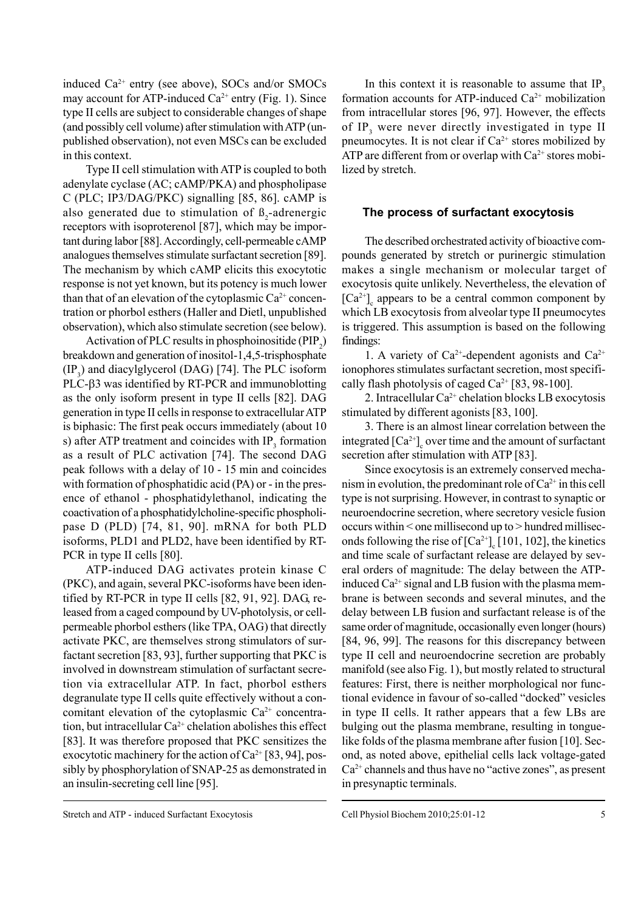induced Ca<sup>2+</sup> entry (see above), SOCs and/or SMOCs may account for ATP-induced  $Ca^{2+}$  entry (Fig. 1). Since type II cells are subject to considerable changes of shape (and possibly cell volume) after stimulation with ATP (unpublished observation), not even MSCs can be excluded in this context.

Type II cell stimulation with ATP is coupled to both adenylate cyclase (AC; cAMP/PKA) and phospholipase C (PLC; IP3/DAG/PKC) signalling [85, 86]. cAMP is also generated due to stimulation of  $\beta_2$ -adrenergic receptors with isoproterenol [87], which may be important during labor [88]. Accordingly, cell-permeable cAMP analogues themselves stimulate surfactant secretion [89]. The mechanism by which cAMP elicits this exocytotic response is not yet known, but its potency is much lower than that of an elevation of the cytoplasmic  $Ca^{2+}$  concentration or phorbol esthers (Haller and Dietl, unpublished observation), which also stimulate secretion (see below).

Activation of PLC results in phosphoinositide  $(PIP_2)$ breakdown and generation of inositol-1,4,5-trisphosphate  $(IP_3)$  and diacylglycerol (DAG) [74]. The PLC isoform PLC-β3 was identified by RT-PCR and immunoblotting as the only isoform present in type II cells [82]. DAG generation in type II cells in response to extracellular ATP is biphasic: The first peak occurs immediately (about 10 s) after ATP treatment and coincides with  $IP_3$  formation as a result of PLC activation [74]. The second DAG peak follows with a delay of 10 - 15 min and coincides with formation of phosphatidic acid (PA) or - in the presence of ethanol - phosphatidylethanol, indicating the coactivation of a phosphatidylcholine-specific phospholipase D (PLD) [74, 81, 90]. mRNA for both PLD isoforms, PLD1 and PLD2, have been identified by RT-PCR in type II cells [80].

ATP-induced DAG activates protein kinase C (PKC), and again, several PKC-isoforms have been identified by RT-PCR in type II cells [82, 91, 92]. DAG, released from a caged compound by UV-photolysis, or cellpermeable phorbol esthers (like TPA, OAG) that directly activate PKC, are themselves strong stimulators of surfactant secretion [83, 93], further supporting that PKC is involved in downstream stimulation of surfactant secretion via extracellular ATP. In fact, phorbol esthers degranulate type II cells quite effectively without a concomitant elevation of the cytoplasmic  $Ca^{2+}$  concentration, but intracellular Ca<sup>2+</sup> chelation abolishes this effect [83]. It was therefore proposed that PKC sensitizes the exocytotic machinery for the action of  $Ca^{2+}$  [83, 94], possibly by phosphorylation of SNAP-25 as demonstrated in an insulin-secreting cell line [95].

In this context it is reasonable to assume that  $IP_3$ formation accounts for ATP-induced  $Ca^{2+}$  mobilization from intracellular stores [96, 97]. However, the effects of  $IP_3$  were never directly investigated in type II pneumocytes. It is not clear if  $Ca^{2+}$  stores mobilized by ATP are different from or overlap with  $Ca^{2+}$  stores mobilized by stretch.

#### **The process of surfactant exocytosis**

The described orchestrated activity of bioactive compounds generated by stretch or purinergic stimulation makes a single mechanism or molecular target of exocytosis quite unlikely. Nevertheless, the elevation of  $[Ca^{2+}]_c$  appears to be a central common component by which LB exocytosis from alveolar type II pneumocytes is triggered. This assumption is based on the following findings:

1. A variety of  $Ca^{2+}$ -dependent agonists and  $Ca^{2+}$ ionophores stimulates surfactant secretion, most specifically flash photolysis of caged Ca<sup>2+</sup> [83, 98-100].

2. Intracellular  $Ca^{2+}$  chelation blocks LB exocytosis stimulated by different agonists [83, 100].

3. There is an almost linear correlation between the integrated  $\left[Ca^{2+}\right]_c$  over time and the amount of surfactant secretion after stimulation with ATP [83].

Since exocytosis is an extremely conserved mechanism in evolution, the predominant role of  $Ca^{2+}$  in this cell type is not surprising. However, in contrast to synaptic or neuroendocrine secretion, where secretory vesicle fusion occurs within < one millisecond up to > hundred milliseconds following the rise of  $\left[Ca^{2+}\right]_{c}$  [101, 102], the kinetics and time scale of surfactant release are delayed by several orders of magnitude: The delay between the ATPinduced  $Ca^{2+}$  signal and LB fusion with the plasma membrane is between seconds and several minutes, and the delay between LB fusion and surfactant release is of the same order of magnitude, occasionally even longer (hours) [84, 96, 99]. The reasons for this discrepancy between type II cell and neuroendocrine secretion are probably manifold (see also Fig. 1), but mostly related to structural features: First, there is neither morphological nor functional evidence in favour of so-called "docked" vesicles in type II cells. It rather appears that a few LBs are bulging out the plasma membrane, resulting in tonguelike folds of the plasma membrane after fusion [10]. Second, as noted above, epithelial cells lack voltage-gated  $Ca<sup>2+</sup>$  channels and thus have no "active zones", as present in presynaptic terminals.

Stretch and ATP - induced Surfactant Exocytosis Cell Physiol Biochem 2010;25:01-12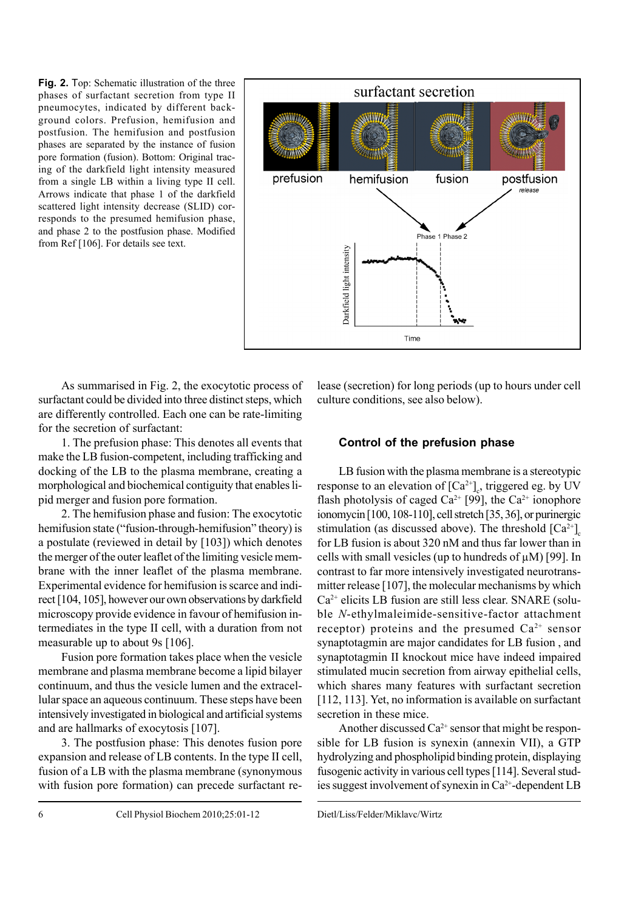**Fig. 2.** Top: Schematic illustration of the three phases of surfactant secretion from type II pneumocytes, indicated by different background colors. Prefusion, hemifusion and postfusion. The hemifusion and postfusion phases are separated by the instance of fusion pore formation (fusion). Bottom: Original tracing of the darkfield light intensity measured from a single LB within a living type II cell. Arrows indicate that phase 1 of the darkfield scattered light intensity decrease (SLID) corresponds to the presumed hemifusion phase, and phase 2 to the postfusion phase. Modified from Ref [106]. For details see text.



As summarised in Fig. 2, the exocytotic process of surfactant could be divided into three distinct steps, which are differently controlled. Each one can be rate-limiting for the secretion of surfactant:

1. The prefusion phase: This denotes all events that make the LB fusion-competent, including trafficking and docking of the LB to the plasma membrane, creating a morphological and biochemical contiguity that enables lipid merger and fusion pore formation.

2. The hemifusion phase and fusion: The exocytotic hemifusion state ("fusion-through-hemifusion" theory) is a postulate (reviewed in detail by [103]) which denotes the merger of the outer leaflet of the limiting vesicle membrane with the inner leaflet of the plasma membrane. Experimental evidence for hemifusion is scarce and indirect [104, 105], however our own observations by darkfield microscopy provide evidence in favour of hemifusion intermediates in the type II cell, with a duration from not measurable up to about 9s [106].

Fusion pore formation takes place when the vesicle membrane and plasma membrane become a lipid bilayer continuum, and thus the vesicle lumen and the extracellular space an aqueous continuum. These steps have been intensively investigated in biological and artificial systems and are hallmarks of exocytosis [107].

3. The postfusion phase: This denotes fusion pore expansion and release of LB contents. In the type II cell, fusion of a LB with the plasma membrane (synonymous with fusion pore formation) can precede surfactant re-

lease (secretion) for long periods (up to hours under cell culture conditions, see also below).

#### **Control of the prefusion phase**

LB fusion with the plasma membrane is a stereotypic response to an elevation of  $[Ca^{2+}]_c$ , triggered eg. by UV flash photolysis of caged  $Ca^{2+}$  [99], the  $Ca^{2+}$  ionophore ionomycin [100, 108-110], cell stretch [35, 36], or purinergic stimulation (as discussed above). The threshold  $[Ca^{2+}]_c$ for LB fusion is about 320 nM and thus far lower than in cells with small vesicles (up to hundreds of  $\mu$ M) [99]. In contrast to far more intensively investigated neurotransmitter release [107], the molecular mechanisms by which  $Ca<sup>2+</sup>$  elicits LB fusion are still less clear. SNARE (soluble *N*-ethylmaleimide-sensitive-factor attachment receptor) proteins and the presumed  $Ca^{2+}$  sensor synaptotagmin are major candidates for LB fusion , and synaptotagmin II knockout mice have indeed impaired stimulated mucin secretion from airway epithelial cells, which shares many features with surfactant secretion [112, 113]. Yet, no information is available on surfactant secretion in these mice.

Another discussed  $Ca^{2+}$  sensor that might be responsible for LB fusion is synexin (annexin VII), a GTP hydrolyzing and phospholipid binding protein, displaying fusogenic activity in various cell types [114]. Several studies suggest involvement of synexin in Ca2+-dependent LB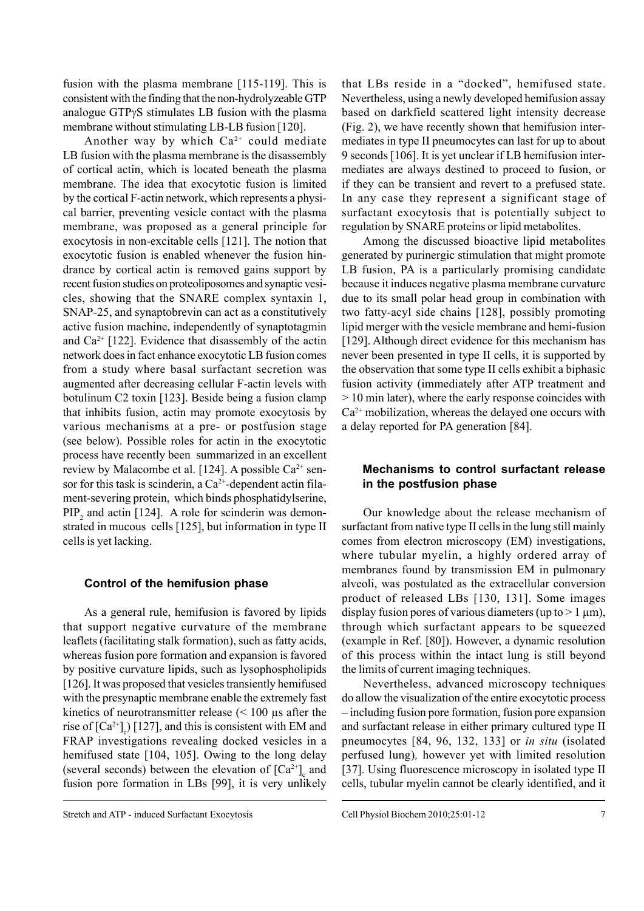fusion with the plasma membrane [115-119]. This is consistent with the finding that the non-hydrolyzeable GTP analogue GTPγS stimulates LB fusion with the plasma membrane without stimulating LB-LB fusion [120].

Another way by which  $Ca^{2+}$  could mediate LB fusion with the plasma membrane is the disassembly of cortical actin, which is located beneath the plasma membrane. The idea that exocytotic fusion is limited by the cortical F-actin network, which represents a physical barrier, preventing vesicle contact with the plasma membrane, was proposed as a general principle for exocytosis in non-excitable cells [121]. The notion that exocytotic fusion is enabled whenever the fusion hindrance by cortical actin is removed gains support by recent fusion studies on proteoliposomes and synaptic vesicles, showing that the SNARE complex syntaxin 1, SNAP-25, and synaptobrevin can act as a constitutively active fusion machine, independently of synaptotagmin and  $Ca^{2+}$  [122]. Evidence that disassembly of the actin network does in fact enhance exocytotic LB fusion comes from a study where basal surfactant secretion was augmented after decreasing cellular F-actin levels with botulinum C2 toxin [123]. Beside being a fusion clamp that inhibits fusion, actin may promote exocytosis by various mechanisms at a pre- or postfusion stage (see below). Possible roles for actin in the exocytotic process have recently been summarized in an excellent review by Malacombe et al. [124]. A possible  $Ca^{2+}$  sensor for this task is scinderin, a  $Ca^{2+}$ -dependent actin filament-severing protein, which binds phosphatidylserine,  $PIP<sub>2</sub>$  and actin [124]. A role for scinderin was demonstrated in mucous cells [125], but information in type II cells is yet lacking.

#### **Control of the hemifusion phase**

As a general rule, hemifusion is favored by lipids that support negative curvature of the membrane leaflets (facilitating stalk formation), such as fatty acids, whereas fusion pore formation and expansion is favored by positive curvature lipids, such as lysophospholipids [126]. It was proposed that vesicles transiently hemifused with the presynaptic membrane enable the extremely fast kinetics of neurotransmitter release (< 100 µs after the rise of  $[Ca^{2+}]_c$ ) [127], and this is consistent with EM and FRAP investigations revealing docked vesicles in a hemifused state [104, 105]. Owing to the long delay (several seconds) between the elevation of  $[Ca^{2+}]_c$  and fusion pore formation in LBs [99], it is very unlikely

that LBs reside in a "docked", hemifused state. Nevertheless, using a newly developed hemifusion assay based on darkfield scattered light intensity decrease (Fig. 2), we have recently shown that hemifusion intermediates in type II pneumocytes can last for up to about 9 seconds [106]. It is yet unclear if LB hemifusion intermediates are always destined to proceed to fusion, or if they can be transient and revert to a prefused state. In any case they represent a significant stage of surfactant exocytosis that is potentially subject to regulation by SNARE proteins or lipid metabolites.

Among the discussed bioactive lipid metabolites generated by purinergic stimulation that might promote LB fusion, PA is a particularly promising candidate because it induces negative plasma membrane curvature due to its small polar head group in combination with two fatty-acyl side chains [128], possibly promoting lipid merger with the vesicle membrane and hemi-fusion [129]. Although direct evidence for this mechanism has never been presented in type II cells, it is supported by the observation that some type II cells exhibit a biphasic fusion activity (immediately after ATP treatment and > 10 min later), where the early response coincides with  $Ca<sup>2+</sup>$  mobilization, whereas the delayed one occurs with a delay reported for PA generation [84].

### **Mechanisms to control surfactant release in the postfusion phase**

Our knowledge about the release mechanism of surfactant from native type II cells in the lung still mainly comes from electron microscopy (EM) investigations, where tubular myelin, a highly ordered array of membranes found by transmission EM in pulmonary alveoli, was postulated as the extracellular conversion product of released LBs [130, 131]. Some images display fusion pores of various diameters (up to  $> 1 \mu m$ ), through which surfactant appears to be squeezed (example in Ref. [80]). However, a dynamic resolution of this process within the intact lung is still beyond the limits of current imaging techniques.

Nevertheless, advanced microscopy techniques do allow the visualization of the entire exocytotic process – including fusion pore formation, fusion pore expansion and surfactant release in either primary cultured type II pneumocytes [84, 96, 132, 133] or *in situ* (isolated perfused lung)*,* however yet with limited resolution [37]. Using fluorescence microscopy in isolated type II cells, tubular myelin cannot be clearly identified, and it

Stretch and ATP - induced Surfactant Exocytosis Cell Physiol Biochem 2010;25:01-12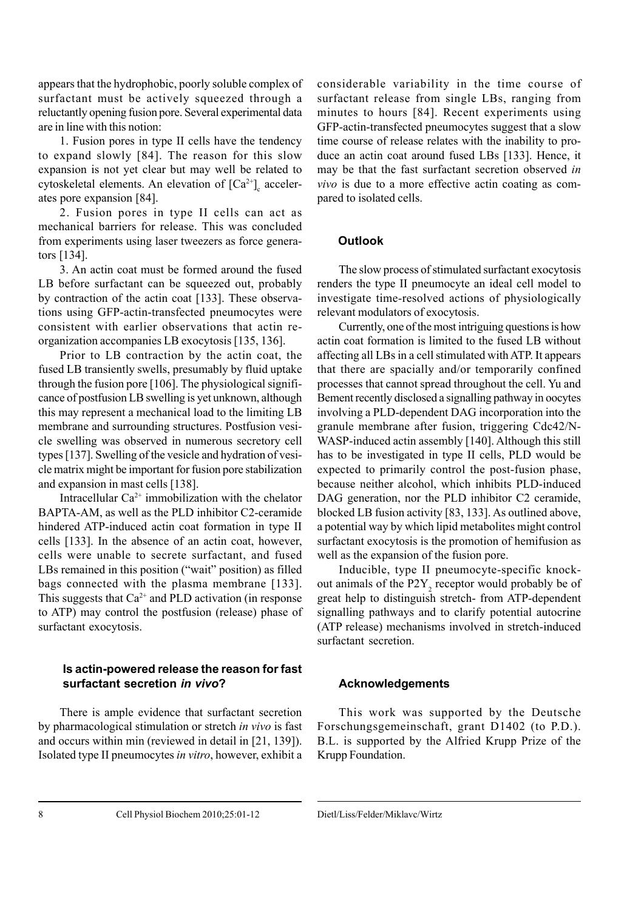appears that the hydrophobic, poorly soluble complex of surfactant must be actively squeezed through a reluctantly opening fusion pore. Several experimental data are in line with this notion:

1. Fusion pores in type II cells have the tendency to expand slowly [84]. The reason for this slow expansion is not yet clear but may well be related to cytoskeletal elements. An elevation of  $[Ca^{2+}]_c$  accelerates pore expansion [84].

2. Fusion pores in type II cells can act as mechanical barriers for release. This was concluded from experiments using laser tweezers as force generators [134].

3. An actin coat must be formed around the fused LB before surfactant can be squeezed out, probably by contraction of the actin coat [133]. These observations using GFP-actin-transfected pneumocytes were consistent with earlier observations that actin reorganization accompanies LB exocytosis [135, 136].

Prior to LB contraction by the actin coat, the fused LB transiently swells, presumably by fluid uptake through the fusion pore [106]. The physiological significance of postfusion LB swelling is yet unknown, although this may represent a mechanical load to the limiting LB membrane and surrounding structures. Postfusion vesicle swelling was observed in numerous secretory cell types [137]. Swelling of the vesicle and hydration of vesicle matrix might be important for fusion pore stabilization and expansion in mast cells [138].

Intracellular  $Ca^{2+}$  immobilization with the chelator BAPTA-AM, as well as the PLD inhibitor C2-ceramide hindered ATP-induced actin coat formation in type II cells [133]. In the absence of an actin coat, however, cells were unable to secrete surfactant, and fused LBs remained in this position ("wait" position) as filled bags connected with the plasma membrane [133]. This suggests that  $Ca^{2+}$  and PLD activation (in response to ATP) may control the postfusion (release) phase of surfactant exocytosis.

## **Is actin-powered release the reason for fast surfactant secretion** *in vivo***?**

There is ample evidence that surfactant secretion by pharmacological stimulation or stretch *in vivo* is fast and occurs within min (reviewed in detail in [21, 139]). Isolated type II pneumocytes *in vitro*, however, exhibit a

considerable variability in the time course of surfactant release from single LBs, ranging from minutes to hours [84]. Recent experiments using GFP-actin-transfected pneumocytes suggest that a slow time course of release relates with the inability to produce an actin coat around fused LBs [133]. Hence, it may be that the fast surfactant secretion observed *in vivo* is due to a more effective actin coating as compared to isolated cells.

## **Outlook**

The slow process of stimulated surfactant exocytosis renders the type II pneumocyte an ideal cell model to investigate time-resolved actions of physiologically relevant modulators of exocytosis.

Currently, one of the most intriguing questions is how actin coat formation is limited to the fused LB without affecting all LBs in a cell stimulated with ATP. It appears that there are spacially and/or temporarily confined processes that cannot spread throughout the cell. Yu and Bement recently disclosed a signalling pathway in oocytes involving a PLD-dependent DAG incorporation into the granule membrane after fusion, triggering Cdc42/N-WASP-induced actin assembly [140]. Although this still has to be investigated in type II cells, PLD would be expected to primarily control the post-fusion phase, because neither alcohol, which inhibits PLD-induced DAG generation, nor the PLD inhibitor C2 ceramide, blocked LB fusion activity [83, 133]. As outlined above, a potential way by which lipid metabolites might control surfactant exocytosis is the promotion of hemifusion as well as the expansion of the fusion pore.

Inducible, type II pneumocyte-specific knockout animals of the  $P2Y_2$  receptor would probably be of great help to distinguish stretch- from ATP-dependent signalling pathways and to clarify potential autocrine (ATP release) mechanisms involved in stretch-induced surfactant secretion.

## **Acknowledgements**

This work was supported by the Deutsche Forschungsgemeinschaft, grant D1402 (to P.D.). B.L. is supported by the Alfried Krupp Prize of the Krupp Foundation.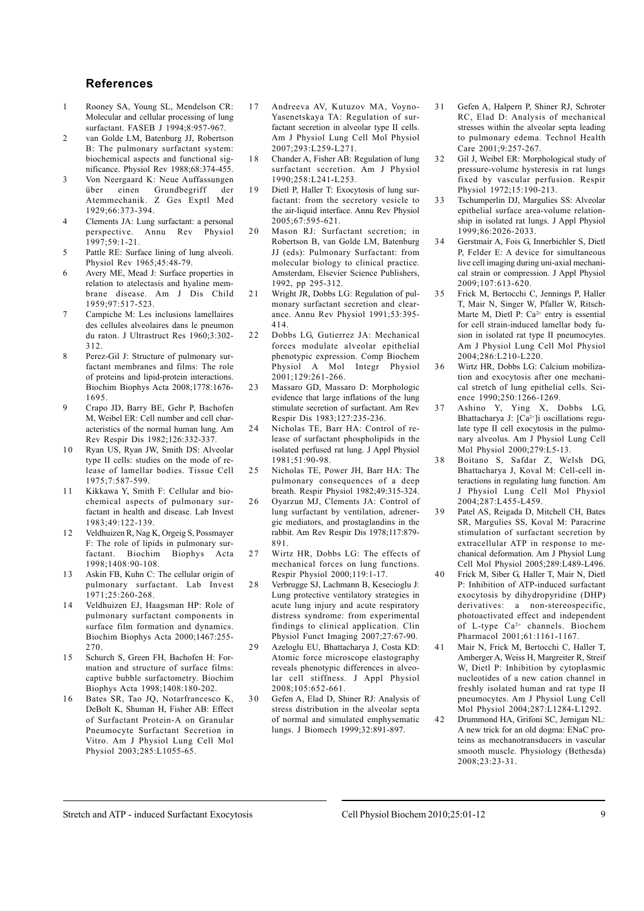#### **References**

- 1 Rooney SA, Young SL, Mendelson CR: Molecular and cellular processing of lung surfactant. FASEB J 1994;8:957-967.
- 2 van Golde LM, Batenburg JJ, Robertson B: The pulmonary surfactant system: biochemical aspects and functional significance. Physiol Rev 1988;68:374-455.
- 3 Von Neergaard K: Neue Auffassungen über einen Grundbegriff der Atemmechanik. Z Ges Exptl Med 1929;66:373-394.
- 4 Clements JA: Lung surfactant: a personal perspective. Annu Rev Physiol 1997;59:1-21.
- 5 Pattle RE: Surface lining of lung alveoli. Physiol Rev 1965;45:48-79.
- 6 Avery ME, Mead J: Surface properties in relation to atelectasis and hyaline membrane disease. Am J Dis Child 1959;97:517-523.
- 7 Campiche M: Les inclusions lamellaires des cellules alveolaires dans le pneumon du raton. J Ultrastruct Res 1960;3:302- 312.
- 8 Perez-Gil J: Structure of pulmonary surfactant membranes and films: The role of proteins and lipid-protein interactions. Biochim Biophys Acta 2008;1778:1676- 1695.
- 9 Crapo JD, Barry BE, Gehr P, Bachofen M, Weibel ER: Cell number and cell characteristics of the normal human lung. Am Rev Respir Dis 1982;126:332-337.
- 10 Ryan US, Ryan JW, Smith DS: Alveolar type II cells: studies on the mode of release of lamellar bodies. Tissue Cell 1975;7:587-599.
- 11 Kikkawa Y, Smith F: Cellular and biochemical aspects of pulmonary surfactant in health and disease. Lab Invest 1983;49:122-139.
- 1 2 Veldhuizen R, Nag K, Orgeig S, Possmayer F: The role of lipids in pulmonary surfactant. Biochim Biophys Acta 1998;1408:90-108.
- 13 Askin FB, Kuhn C: The cellular origin of pulmonary surfactant. Lab Invest 1971;25:260-268.
- 1 4 Veldhuizen EJ, Haagsman HP: Role of pulmonary surfactant components in surface film formation and dynamics. Biochim Biophys Acta 2000;1467:255- 270.
- 15 Schurch S, Green FH, Bachofen H: Formation and structure of surface films: captive bubble surfactometry. Biochim Biophys Acta 1998;1408:180-202.
- Bates SR, Tao JO, Notarfrancesco K, DeBolt K, Shuman H, Fisher AB: Effect of Surfactant Protein-A on Granular Pneumocyte Surfactant Secretion in Vitro. Am J Physiol Lung Cell Mol Physiol 2003;285:L1055-65.
- 17 Andreeva AV, Kutuzov MA, Voyno-Yasenetskaya TA: Regulation of surfactant secretion in alveolar type II cells. Am J Physiol Lung Cell Mol Physiol 2007;293:L259-L271.
- 18 Chander A, Fisher AB: Regulation of lung surfactant secretion. Am J Physiol 1990;258:L241-L253.
- 19 Dietl P, Haller T: Exocytosis of lung surfactant: from the secretory vesicle to the air-liquid interface. Annu Rev Physiol 2005;67:595-621.
- 20 Mason RJ: Surfactant secretion; in Robertson B, van Golde LM, Batenburg JJ (eds): Pulmonary Surfactant: from molecular biology to clinical practice. Amsterdam, Elsevier Science Publishers, 1992, pp 295-312.
- 21 Wright JR, Dobbs LG: Regulation of pulmonary surfactant secretion and clearance. Annu Rev Physiol 1991;53:395- 414.
- 22 Dobbs LG, Gutierrez JA: Mechanical forces modulate alveolar epithelial phenotypic expression. Comp Biochem Physiol A Mol Integr Physiol 2001;129:261-266.
- 23 Massaro GD, Massaro D: Morphologic evidence that large inflations of the lung stimulate secretion of surfactant. Am Rev Respir Dis 1983;127:235-236.
- 24 Nicholas TE, Barr HA: Control of release of surfactant phospholipids in the isolated perfused rat lung. J Appl Physiol 1981;51:90-98.
- 25 Nicholas TE, Power JH, Barr HA: The pulmonary consequences of a deep breath. Respir Physiol 1982;49:315-324.
- 26 Oyarzun MJ, Clements JA: Control of lung surfactant by ventilation, adrenergic mediators, and prostaglandins in the rabbit. Am Rev Respir Dis 1978;117:879- 891.
- 27 Wirtz HR, Dobbs LG: The effects of mechanical forces on lung functions. Respir Physiol 2000;119:1-17.
- 2 8 Verbrugge SJ, Lachmann B, Kesecioglu J: Lung protective ventilatory strategies in acute lung injury and acute respiratory distress syndrome: from experimental findings to clinical application. Clin Physiol Funct Imaging 2007;27:67-90.
- 29 Azeloglu EU, Bhattacharya J, Costa KD: Atomic force microscope elastography reveals phenotypic differences in alveolar cell stiffness. J Appl Physiol 2008;105:652-661.
- 3 0 Gefen A, Elad D, Shiner RJ: Analysis of stress distribution in the alveolar septa of normal and simulated emphysematic lungs. J Biomech 1999;32:891-897.
- 3 1 Gefen A, Halpern P, Shiner RJ, Schroter RC, Elad D: Analysis of mechanical stresses within the alveolar septa leading to pulmonary edema. Technol Health Care 2001;9:257-267.
- 3 2 Gil J, Weibel ER: Morphological study of pressure-volume hysteresis in rat lungs fixed by vascular perfusion. Respir Physiol 1972;15:190-213.
- 3 3 Tschumperlin DJ, Margulies SS: Alveolar epithelial surface area-volume relationship in isolated rat lungs. J Appl Physiol 1999;86:2026-2033.
- 3 4 Gerstmair A, Fois G, Innerbichler S, Dietl P, Felder E: A device for simultaneous live cell imaging during uni-axial mechanical strain or compression. J Appl Physiol 2009;107:613-620.
- 3 5 Frick M, Bertocchi C, Jennings P, Haller T, Mair N, Singer W, Pfaller W, Ritsch-Marte M, Dietl P:  $Ca^{2+}$  entry is essential for cell strain-induced lamellar body fusion in isolated rat type II pneumocytes. Am J Physiol Lung Cell Mol Physiol 2004;286:L210-L220.
- 3 6 Wirtz HR, Dobbs LG: Calcium mobilization and exocytosis after one mechanical stretch of lung epithelial cells. Science 1990;250:1266-1269.
- 37 Ashino Y, Ying X, Dobbs LG, Bhattacharya J:  $[Ca^{2+}]$ i oscillations regulate type II cell exocytosis in the pulmonary alveolus. Am J Physiol Lung Cell Mol Physiol 2000;279:L5-13.
- 3 8 Boitano S, Safdar Z, Welsh DG, Bhattacharya J, Koval M: Cell-cell interactions in regulating lung function. Am J Physiol Lung Cell Mol Physiol 2004;287:L455-L459.
- 3 9 Patel AS, Reigada D, Mitchell CH, Bates SR, Margulies SS, Koval M: Paracrine stimulation of surfactant secretion by extracellular ATP in response to mechanical deformation. Am J Physiol Lung Cell Mol Physiol 2005;289:L489-L496.
- 4 0 Frick M, Siber G, Haller T, Mair N, Dietl P: Inhibition of ATP-induced surfactant exocytosis by dihydropyridine (DHP) derivatives: a non-stereospecific. photoactivated effect and independent of L-type Ca<sup>2+</sup> channels. Biochem Pharmacol 2001;61:1161-1167.
- 4 1 Mair N, Frick M, Bertocchi C, Haller T, Amberger A, Weiss H, Margreiter R, Streif W, Dietl P: Inhibition by cytoplasmic nucleotides of a new cation channel in freshly isolated human and rat type II pneumocytes. Am J Physiol Lung Cell Mol Physiol 2004;287:L1284-L1292.
- 4 2 Drummond HA, Grifoni SC, Jernigan NL: A new trick for an old dogma: ENaC proteins as mechanotransducers in vascular smooth muscle. Physiology (Bethesda) 2008;23:23-31.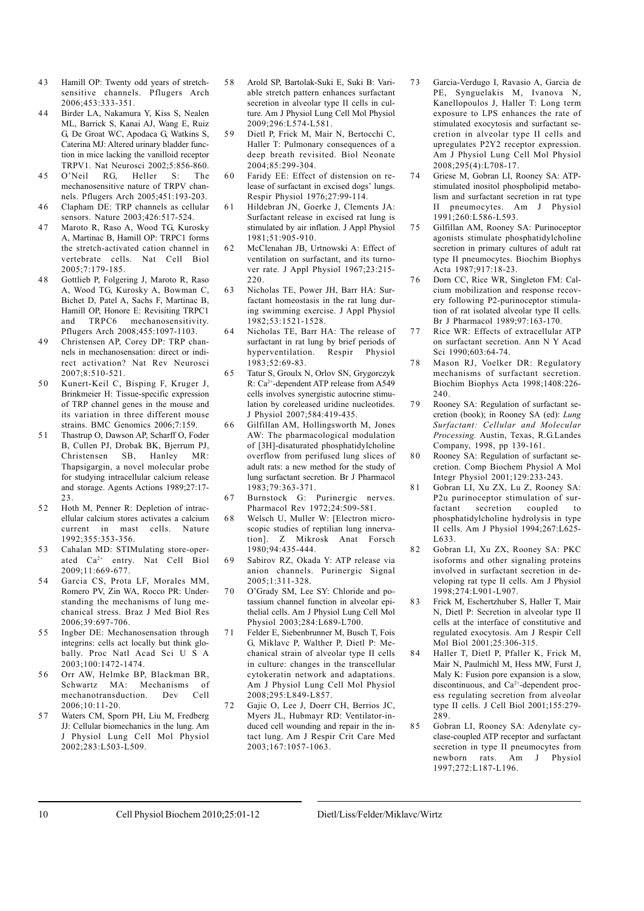- 4 3 Hamill OP: Twenty odd years of stretchsensitive channels. Pflugers Arch 2006;453:333-351.
- 44 Birder LA, Nakamura Y, Kiss S, Nealen ML, Barrick S, Kanai AJ, Wang E, Ruiz G, De Groat WC, Apodaca G, Watkins S, Caterina MJ: Altered urinary bladder function in mice lacking the vanilloid receptor TRPV1. Nat Neurosci 2002;5:856-860.
- 45 O'Neil RG, Heller S: The mechanosensitive nature of TRPV channels. Pflugers Arch 2005;451:193-203.
- 46 Clapham DE: TRP channels as cellular sensors. Nature 2003;426:517-524.
- 47 Maroto R, Raso A, Wood TG, Kurosky A, Martinac B, Hamill OP: TRPC1 forms the stretch-activated cation channel in vertebrate cells. Nat Cell Biol 2005;7:179-185.
- 48 Gottlieb P, Folgering J, Maroto R, Raso A, Wood TG, Kurosky A, Bowman C, Bichet D, Patel A, Sachs F, Martinac B, Hamill OP, Honore E: Revisiting TRPC1 and TRPC6 mechanosensitivity. Pflugers Arch 2008;455:1097-1103.
- 4 9 Christensen AP, Corey DP: TRP channels in mechanosensation: direct or indirect activation? Nat Rev Neurosci 2007;8:510-521.
- 5 0 Kunert-Keil C, Bisping F, Kruger J, Brinkmeier H: Tissue-specific expression of TRP channel genes in the mouse and its variation in three different mouse strains. BMC Genomics 2006;7:159.
- 51 Thastrup O, Dawson AP, Scharff O, Foder B, Cullen PJ, Drobak BK, Bjerrum PJ, Christensen SB, Thapsigargin, a novel molecular probe for studying intracellular calcium release and storage. Agents Actions 1989;27:17- 23.
- 52 Hoth M, Penner R: Depletion of intracellular calcium stores activates a calcium current in mast cells. Nature 1992;355:353-356.
- 53 Cahalan MD: STIMulating store-operated Ca2+ entry. Nat Cell Biol 2009;11:669-677.
- 5 4 Garcia CS, Prota LF, Morales MM, Romero PV, Zin WA, Rocco PR: Understanding the mechanisms of lung mechanical stress. Braz J Med Biol Res 2006;39:697-706.
- 55 Ingber DE: Mechanosensation through integrins: cells act locally but think globally. Proc Natl Acad Sci U S A 2003;100:1472-1474.
- 56 Orr AW, Helmke BP, Blackman BR, Schwartz MA: Mechanisms of mechanotransduction. Dev Cell  $2006:10:11-20$
- 5 7 Waters CM, Sporn PH, Liu M, Fredberg JJ: Cellular biomechanics in the lung. Am J Physiol Lung Cell Mol Physiol 2002;283:L503-L509.
- 58 Arold SP, Bartolak-Suki E, Suki B: Variable stretch pattern enhances surfactant secretion in alveolar type II cells in culture. Am J Physiol Lung Cell Mol Physiol 2009;296:L574-L581.
- 5 9 Dietl P, Frick M, Mair N, Bertocchi C, Haller T: Pulmonary consequences of a deep breath revisited. Biol Neonate 2004;85:299-304.
- 60 Faridy EE: Effect of distension on release of surfactant in excised dogs' lungs. Respir Physiol 1976;27:99-114.
- 61 Hildebran JN, Goerke J, Clements JA: Surfactant release in excised rat lung is stimulated by air inflation. J Appl Physiol 1981;51:905-910.
- McClenahan JB, Urtnowski A: Effect of ventilation on surfactant, and its turnover rate. J Appl Physiol 1967;23:215- 220.
- 63 Nicholas TE, Power JH, Barr HA: Surfactant homeostasis in the rat lung during swimming exercise. J Appl Physiol 1982;53:1521-1528.
- 64 Nicholas TE, Barr HA: The release of surfactant in rat lung by brief periods of hyperventilation. Respir Physiol 1983;52:69-83.
- 65 Tatur S, Groulx N, Orlov SN, Grygorczyk R: Ca2+-dependent ATP release from A549 cells involves synergistic autocrine stimulation by coreleased uridine nucleotides. J Physiol 2007;584:419-435.
- 6 6 Gilfillan AM, Hollingsworth M, Jones AW: The pharmacological modulation of [3H]-disaturated phosphatidylcholine overflow from perifused lung slices of adult rats: a new method for the study of lung surfactant secretion. Br J Pharmacol 1983;79:363-371.
- 67 Burnstock G: Purinergic nerves. Pharmacol Rev 1972;24:509-581.
- 6 8 Welsch U, Muller W: [Electron microscopic studies of reptilian lung innervation]. Z Mikrosk Anat Forsch 1980;94:435-444.
- 6 9 Sabirov RZ, Okada Y: ATP release via anion channels. Purinergic Signal  $2005:1:311-328$
- 70 O'Grady SM, Lee SY: Chloride and potassium channel function in alveolar epithelial cells. Am J Physiol Lung Cell Mol Physiol 2003;284:L689-L700.
- 7 1 Felder E, Siebenbrunner M, Busch T, Fois G, Miklavc P, Walther P, Dietl P: Mechanical strain of alveolar type II cells in culture: changes in the transcellular cytokeratin network and adaptations. Am J Physiol Lung Cell Mol Physiol 2008;295:L849-L857.
- 72 Gajic O, Lee J, Doerr CH, Berrios JC, Myers JL, Hubmayr RD: Ventilator-induced cell wounding and repair in the intact lung. Am J Respir Crit Care Med 2003;167:1057-1063.
- 7 3 Garcia-Verdugo I, Ravasio A, Garcia de PE, Synguelakis M, Ivanova N, Kanellopoulos J, Haller T: Long term exposure to LPS enhances the rate of stimulated exocytosis and surfactant secretion in alveolar type II cells and upregulates P2Y2 receptor expression. Am J Physiol Lung Cell Mol Physiol 2008;295(4):L708-17.
- 7 4 Griese M, Gobran LI, Rooney SA: ATPstimulated inositol phospholipid metabolism and surfactant secretion in rat type II pneumocytes. Am J Physiol 1991;260:L586-L593.
- 7 5 Gilfillan AM, Rooney SA: Purinoceptor agonists stimulate phosphatidylcholine secretion in primary cultures of adult rat type II pneumocytes. Biochim Biophys Acta 1987;917:18-23.
- 76 Dorn CC, Rice WR, Singleton FM: Calcium mobilization and response recovery following P2-purinoceptor stimulation of rat isolated alveolar type II cells. Br J Pharmacol 1989;97:163-170.
- 77 Rice WR: Effects of extracellular ATP on surfactant secretion. Ann N Y Acad Sci 1990;603:64-74.
- 78 Mason RJ, Voelker DR: Regulatory mechanisms of surfactant secretion. Biochim Biophys Acta 1998;1408:226- 240.
- 79 Rooney SA: Regulation of surfactant secretion (book); in Rooney SA (ed): *Lung Surfactant: Cellular and Molecular Processing.* Austin, Texas, R.G.Landes Company, 1998, pp 139-161.
- 80 Rooney SA: Regulation of surfactant secretion. Comp Biochem Physiol A Mol Integr Physiol 2001;129:233-243.
- 81 Gobran LI, Xu ZX, Lu Z, Rooney SA: P2u purinoceptor stimulation of surfactant secretion coupled to phosphatidylcholine hydrolysis in type II cells. Am J Physiol 1994;267:L625- L633.
- 82 Gobran LI, Xu ZX, Rooney SA: PKC isoforms and other signaling proteins involved in surfactant secretion in developing rat type II cells. Am J Physiol 1998;274:L901-L907.
- 83 Frick M, Eschertzhuber S, Haller T, Mair N, Dietl P: Secretion in alveolar type II cells at the interface of constitutive and regulated exocytosis. Am J Respir Cell Mol Biol 2001;25:306-315.
- 84 Haller T, Dietl P, Pfaller K, Frick M, Mair N, Paulmichl M, Hess MW, Furst J, Maly K: Fusion pore expansion is a slow, discontinuous, and Ca2+-dependent process regulating secretion from alveolar type II cells. J Cell Biol 2001;155:279- 289.
- 8 5 Gobran LI, Rooney SA: Adenylate cyclase-coupled ATP receptor and surfactant secretion in type II pneumocytes from newborn rats. Am J Physiol 1997;272:L187-L196.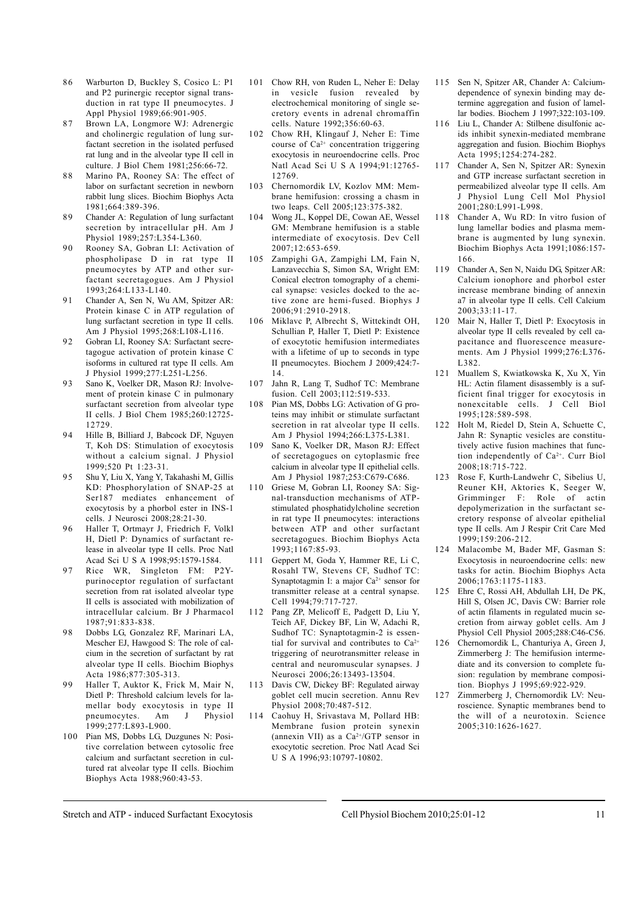- 86 Warburton D, Buckley S, Cosico L: P1 and P2 purinergic receptor signal transduction in rat type II pneumocytes. J Appl Physiol 1989;66:901-905.
- 87 Brown LA, Longmore WJ: Adrenergic and cholinergic regulation of lung surfactant secretion in the isolated perfused rat lung and in the alveolar type II cell in culture. J Biol Chem 1981;256:66-72.
- 88 Marino PA, Rooney SA: The effect of labor on surfactant secretion in newborn rabbit lung slices. Biochim Biophys Acta 1981;664:389-396.
- 8 9 Chander A: Regulation of lung surfactant secretion by intracellular pH. Am J Physiol 1989;257:L354-L360.
- 90 Rooney SA, Gobran LI: Activation of phospholipase D in rat type II pneumocytes by ATP and other surfactant secretagogues. Am J Physiol 1993;264:L133-L140.
- 91 Chander A, Sen N, Wu AM, Spitzer AR: Protein kinase C in ATP regulation of lung surfactant secretion in type II cells. Am J Physiol 1995;268:L108-L116.
- 92 Gobran LI, Rooney SA: Surfactant secretagogue activation of protein kinase C isoforms in cultured rat type II cells. Am J Physiol 1999;277:L251-L256.
- 93 Sano K, Voelker DR, Mason RJ: Involvement of protein kinase C in pulmonary surfactant secretion from alveolar type II cells. J Biol Chem 1985;260:12725- 12729.
- 94 Hille B, Billiard J, Babcock DF, Nguyen T, Koh DS: Stimulation of exocytosis without a calcium signal. J Physiol 1999;520 Pt 1:23-31.
- 9 5 Shu Y, Liu X, Yang Y, Takahashi M, Gillis KD: Phosphorylation of SNAP-25 at Ser187 mediates enhancement of exocytosis by a phorbol ester in INS-1 cells. J Neurosci 2008;28:21-30.
- 96 Haller T, Ortmayr J, Friedrich F, Volkl H, Dietl P: Dynamics of surfactant release in alveolar type II cells. Proc Natl Acad Sci U S A 1998;95:1579-1584.
- 97 Rice WR, Singleton FM: P2Ypurinoceptor regulation of surfactant secretion from rat isolated alveolar type II cells is associated with mobilization of intracellular calcium. Br J Pharmacol 1987;91:833-838.
- 9 8 Dobbs LG, Gonzalez RF, Marinari LA, Mescher EJ, Hawgood S: The role of calcium in the secretion of surfactant by rat alveolar type II cells. Biochim Biophys Acta 1986;877:305-313.
- 99 Haller T, Auktor K, Frick M, Mair N, Dietl P: Threshold calcium levels for lamellar body exocytosis in type II pneumocytes. Am J Physiol 1999;277:L893-L900.
- 100 Pian MS, Dobbs LG, Duzgunes N: Positive correlation between cytosolic free calcium and surfactant secretion in cultured rat alveolar type II cells. Biochim Biophys Acta 1988;960:43-53.
- 101 Chow RH, von Ruden L, Neher E: Delay in vesicle fusion revealed by electrochemical monitoring of single secretory events in adrenal chromaffin cells. Nature 1992;356:60-63.
- 102 Chow RH, Klingauf J, Neher E: Time course of  $Ca^{2+}$  concentration triggering exocytosis in neuroendocrine cells. Proc Natl Acad Sci U S A 1994;91:12765- 12769.
- 103 Chernomordik LV, Kozlov MM: Membrane hemifusion: crossing a chasm in two leaps. Cell 2005;123:375-382.
- 104 Wong JL, Koppel DE, Cowan AE, Wessel GM: Membrane hemifusion is a stable intermediate of exocytosis. Dev Cell 2007;12:653-659.
- 105 Zampighi GA, Zampighi LM, Fain N, Lanzavecchia S, Simon SA, Wright EM: Conical electron tomography of a chemical synapse: vesicles docked to the active zone are hemi-fused. Biophys J 2006;91:2910-2918.
- 106 Miklavc P, Albrecht S, Wittekindt OH, Schullian P, Haller T, Dietl P: Existence of exocytotic hemifusion intermediates with a lifetime of up to seconds in type II pneumocytes. Biochem J 2009;424:7- 14.
- 107 Jahn R, Lang T, Sudhof TC: Membrane fusion. Cell 2003;112:519-533.
- 108 Pian MS, Dobbs LG: Activation of G proteins may inhibit or stimulate surfactant secretion in rat alveolar type II cells. Am J Physiol 1994;266:L375-L381.
- 109 Sano K, Voelker DR, Mason RJ: Effect of secretagogues on cytoplasmic free calcium in alveolar type II epithelial cells. Am J Physiol 1987;253:C679-C686.
- 110 Griese M, Gobran LI, Rooney SA: Signal-transduction mechanisms of ATPstimulated phosphatidylcholine secretion in rat type II pneumocytes: interactions between ATP and other surfactant secretagogues. Biochim Biophys Acta 1993;1167:85-93.
- 111 Geppert M, Goda Y, Hammer RE, Li C, Rosahl TW, Stevens CF, Sudhof TC: Synaptotagmin I: a major Ca<sup>2+</sup> sensor for transmitter release at a central synapse. Cell 1994;79:717-727.
- 112 Pang ZP, Melicoff E, Padgett D, Liu Y, Teich AF, Dickey BF, Lin W, Adachi R, Sudhof TC: Synaptotagmin-2 is essential for survival and contributes to  $Ca^{2+}$ triggering of neurotransmitter release in central and neuromuscular synapses. J Neurosci 2006;26:13493-13504.
- 113 Davis CW, Dickey BF: Regulated airway goblet cell mucin secretion. Annu Rev Physiol 2008:70:487-512.
- 114 Caohuy H, Srivastava M, Pollard HB: Membrane fusion protein synexin (annexin VII) as a  $Ca^{2+}/GTP$  sensor in exocytotic secretion. Proc Natl Acad Sci U S A 1996;93:10797-10802.
- 115 Sen N, Spitzer AR, Chander A: Calciumdependence of synexin binding may determine aggregation and fusion of lamellar bodies. Biochem J 1997;322:103-109.
- 116 Liu L, Chander A: Stilbene disulfonic acids inhibit synexin-mediated membrane aggregation and fusion. Biochim Biophys Acta 1995;1254:274-282.
- 117 Chander A, Sen N, Spitzer AR: Synexin and GTP increase surfactant secretion in permeabilized alveolar type II cells. Am J Physiol Lung Cell Mol Physiol 2001;280:L991-L998.
- 118 Chander A, Wu RD: In vitro fusion of lung lamellar bodies and plasma membrane is augmented by lung synexin. Biochim Biophys Acta 1991;1086:157- 166.
- 119 Chander A, Sen N, Naidu DG, Spitzer AR: Calcium ionophore and phorbol ester increase membrane binding of annexin a7 in alveolar type II cells. Cell Calcium 2003;33:11-17.
- 120 Mair N, Haller T, Dietl P: Exocytosis in alveolar type II cells revealed by cell capacitance and fluorescence measurements. Am J Physiol 1999;276:L376- L382.
- 121 Muallem S, Kwiatkowska K, Xu X, Yin HL: Actin filament disassembly is a sufficient final trigger for exocytosis in nonexcitable cells. J Cell Biol 1995;128:589-598.
- 122 Holt M, Riedel D, Stein A, Schuette C, Jahn R: Synaptic vesicles are constitutively active fusion machines that function independently of Ca2+. Curr Biol 2008;18:715-722.
- 123 Rose F, Kurth-Landwehr C, Sibelius U, Reuner KH, Aktories K, Seeger W, Grimminger F: Role of actin depolymerization in the surfactant secretory response of alveolar epithelial type II cells. Am J Respir Crit Care Med 1999;159:206-212.
- 124 Malacombe M, Bader MF, Gasman S: Exocytosis in neuroendocrine cells: new tasks for actin. Biochim Biophys Acta 2006;1763:1175-1183.
- 125 Ehre C, Rossi AH, Abdullah LH, De PK, Hill S, Olsen JC, Davis CW: Barrier role of actin filaments in regulated mucin secretion from airway goblet cells. Am J Physiol Cell Physiol 2005;288:C46-C56.
- 126 Chernomordik L, Chanturiya A, Green J, Zimmerberg J: The hemifusion intermediate and its conversion to complete fusion: regulation by membrane composition. Biophys J 1995;69:922-929.
- 127 Zimmerberg J, Chernomordik LV: Neuroscience. Synaptic membranes bend to the will of a neurotoxin. Science 2005;310:1626-1627.

Stretch and ATP - induced Surfactant Exocytosis Cell Physiol Biochem 2010;25:01-12